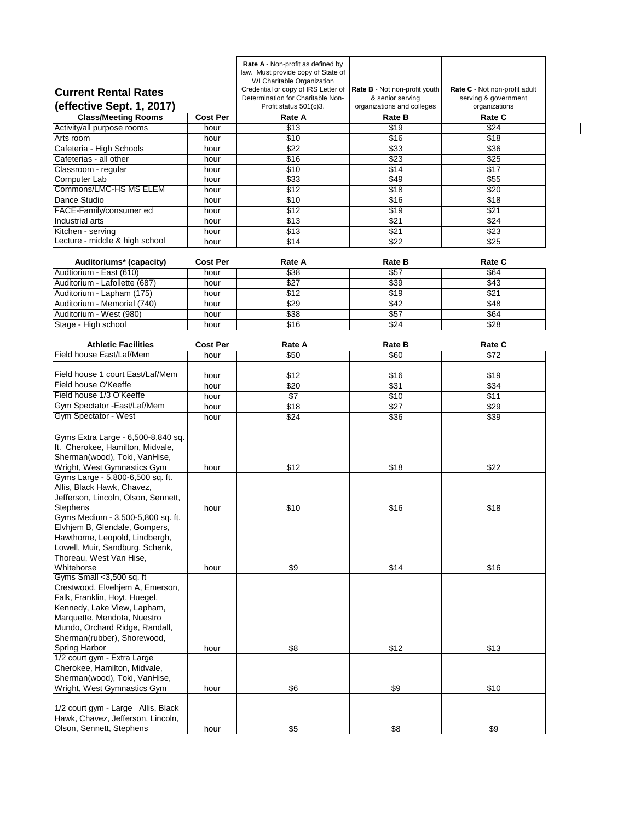|                                                                                                                                                                                                                             |                 | Rate A - Non-profit as defined by<br>law. Must provide copy of State of<br>WI Charitable Organization |                                                   |                                                       |
|-----------------------------------------------------------------------------------------------------------------------------------------------------------------------------------------------------------------------------|-----------------|-------------------------------------------------------------------------------------------------------|---------------------------------------------------|-------------------------------------------------------|
| <b>Current Rental Rates</b>                                                                                                                                                                                                 |                 | Credential or copy of IRS Letter of<br>Determination for Charitable Non-                              | Rate B - Not non-profit youth<br>& senior serving | Rate C - Not non-profit adult<br>serving & government |
| (effective Sept. 1, 2017)                                                                                                                                                                                                   |                 | Profit status 501(c)3.                                                                                | organizations and colleges                        | organizations                                         |
| <b>Class/Meeting Rooms</b>                                                                                                                                                                                                  | <b>Cost Per</b> | Rate A                                                                                                | <b>Rate B</b>                                     | Rate C                                                |
| Activity/all purpose rooms                                                                                                                                                                                                  | hour            | \$13                                                                                                  | \$19                                              | \$24                                                  |
| Arts room                                                                                                                                                                                                                   | hour            | \$10                                                                                                  | \$16                                              | \$18                                                  |
| Cafeteria - High Schools                                                                                                                                                                                                    | hour            | \$22                                                                                                  | \$33                                              | \$36                                                  |
| Cafeterias - all other                                                                                                                                                                                                      | hour            | \$16                                                                                                  | \$23                                              | $\overline{$25}$                                      |
| Classroom - regular                                                                                                                                                                                                         | hour            | \$10                                                                                                  | \$14                                              | \$17                                                  |
| Computer Lab                                                                                                                                                                                                                | hour            | \$33                                                                                                  | \$49                                              | \$55                                                  |
| Commons/LMC-HS MS ELEM                                                                                                                                                                                                      | hour            | $\sqrt{$12}$                                                                                          | \$18                                              | \$20                                                  |
| Dance Studio                                                                                                                                                                                                                | hour            | \$10                                                                                                  | \$16                                              | \$18                                                  |
| FACE-Family/consumer ed                                                                                                                                                                                                     | hour            | \$12                                                                                                  | \$19                                              | \$21                                                  |
| Industrial arts                                                                                                                                                                                                             | hour            | \$13                                                                                                  | \$21                                              | \$24                                                  |
| Kitchen - serving                                                                                                                                                                                                           | hour            | \$13                                                                                                  | \$21                                              | \$23                                                  |
| Lecture - middle & high school                                                                                                                                                                                              | hour            | \$14                                                                                                  | \$22                                              | \$25                                                  |
|                                                                                                                                                                                                                             |                 |                                                                                                       |                                                   |                                                       |
| Auditoriums* (capacity)                                                                                                                                                                                                     | <b>Cost Per</b> | Rate A                                                                                                | Rate B                                            | Rate C                                                |
| Audtiorium - East (610)                                                                                                                                                                                                     | hour            | \$38                                                                                                  | \$57                                              | \$64                                                  |
| Auditorium - Lafollette (687)                                                                                                                                                                                               | hour            | \$27                                                                                                  | \$39                                              | \$43                                                  |
| Auditorium - Lapham (175)                                                                                                                                                                                                   | hour            | $\sqrt{$12}$                                                                                          | \$19                                              | \$21                                                  |
| Auditorium - Memorial (740)                                                                                                                                                                                                 | hour            | \$29                                                                                                  | \$42                                              | \$48                                                  |
| Auditorium - West (980)                                                                                                                                                                                                     | hour            | \$38                                                                                                  | \$57                                              | \$64                                                  |
| Stage - High school                                                                                                                                                                                                         | hour            | \$16                                                                                                  | \$24                                              | \$28                                                  |
|                                                                                                                                                                                                                             |                 |                                                                                                       |                                                   |                                                       |
| <b>Athletic Facilities</b>                                                                                                                                                                                                  | <b>Cost Per</b> | Rate A                                                                                                | <b>Rate B</b>                                     | Rate C                                                |
| Field house East/Laf/Mem                                                                                                                                                                                                    | hour            | \$50                                                                                                  | \$60                                              | $\sqrt{$72}$                                          |
|                                                                                                                                                                                                                             |                 |                                                                                                       |                                                   |                                                       |
| Field house 1 court East/Laf/Mem                                                                                                                                                                                            | hour            | \$12                                                                                                  | \$16                                              | \$19                                                  |
| Field house O'Keeffe                                                                                                                                                                                                        | hour            | \$20                                                                                                  | \$31                                              | \$34                                                  |
| Field house 1/3 O'Keeffe                                                                                                                                                                                                    | hour            | $\overline{\$7}$                                                                                      | \$10                                              | \$11                                                  |
| Gym Spectator - East/Laf/Mem                                                                                                                                                                                                | hour            | \$18                                                                                                  | \$27                                              | \$29                                                  |
| Gym Spectator - West                                                                                                                                                                                                        | hour            | \$24                                                                                                  | \$36                                              | \$39                                                  |
| Gyms Extra Large - 6,500-8,840 sq.<br>ft. Cherokee, Hamilton, Midvale,<br>Sherman(wood), Toki, VanHise,                                                                                                                     |                 |                                                                                                       |                                                   |                                                       |
| Wright, West Gymnastics Gym                                                                                                                                                                                                 | hour            | \$12                                                                                                  | \$18                                              | \$22                                                  |
| Gyms Large - 5,800-6,500 sq. ft.<br>Allis, Black Hawk, Chavez,<br>Jefferson, Lincoln, Olson, Sennett,<br><b>Stephens</b>                                                                                                    | hour            | \$10                                                                                                  | \$16                                              | \$18                                                  |
| Gyms Medium - 3,500-5,800 sq. ft.<br>Elvhjem B, Glendale, Gompers,<br>Hawthorne, Leopold, Lindbergh,<br>Lowell, Muir, Sandburg, Schenk,<br>Thoreau, West Van Hise,<br>Whitehorse                                            | hour            | \$9                                                                                                   | \$14                                              | \$16                                                  |
| Gyms Small <3,500 sq. ft<br>Crestwood, Elvehjem A, Emerson,<br>Falk, Franklin, Hoyt, Huegel,<br>Kennedy, Lake View, Lapham,<br>Marquette, Mendota, Nuestro<br>Mundo, Orchard Ridge, Randall,<br>Sherman(rubber), Shorewood, |                 |                                                                                                       |                                                   |                                                       |
| <b>Spring Harbor</b>                                                                                                                                                                                                        | hour            | \$8                                                                                                   | \$12                                              | \$13                                                  |
| 1/2 court gym - Extra Large<br>Cherokee, Hamilton, Midvale,<br>Sherman(wood), Toki, VanHise,                                                                                                                                |                 |                                                                                                       |                                                   |                                                       |
| Wright, West Gymnastics Gym                                                                                                                                                                                                 | hour            | \$6                                                                                                   | \$9                                               | \$10                                                  |
| 1/2 court gym - Large Allis, Black<br>Hawk, Chavez, Jefferson, Lincoln,<br>Olson, Sennett, Stephens                                                                                                                         | hour            | \$5                                                                                                   | \$8                                               | \$9                                                   |